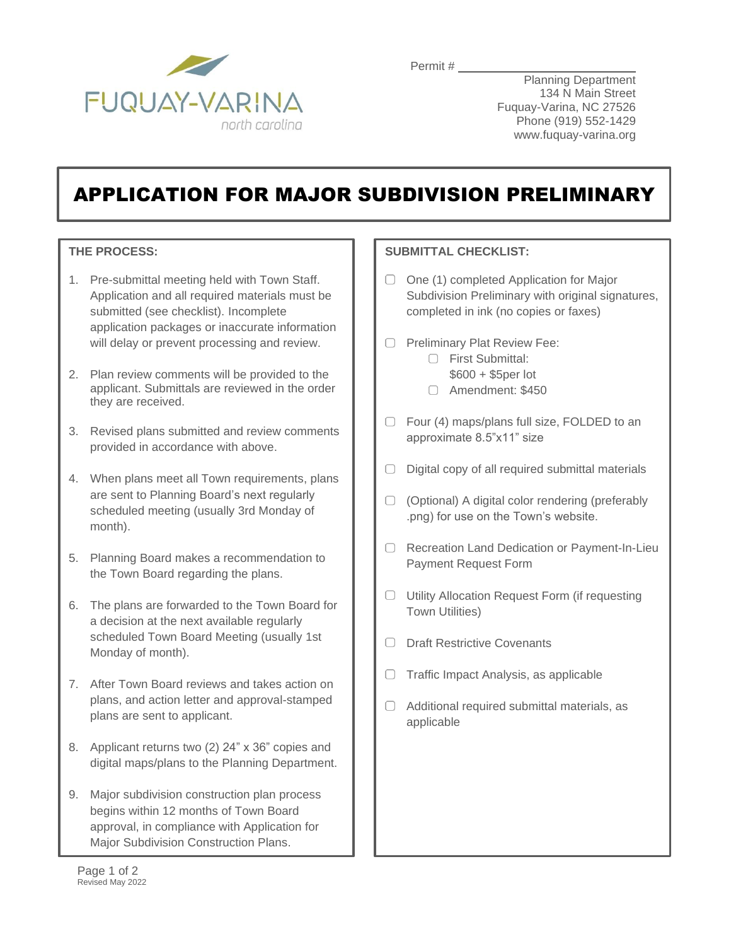

Permit #

Planning Department 134 N Main Street Fuquay-Varina, NC 27526 Phone (919) 552-1429 www.fuquay-varina.org

## APPLICATION FOR MAJOR SUBDIVISION PRELIMINARY

## **THE PROCESS:**

- 1. Pre-submittal meeting held with Town Staff. Application and all required materials must be submitted (see checklist). Incomplete application packages or inaccurate information will delay or prevent processing and review.
- 2. Plan review comments will be provided to the applicant. Submittals are reviewed in the order they are received.
- 3. Revised plans submitted and review comments provided in accordance with above.
- 4. When plans meet all Town requirements, plans are sent to Planning Board's next regularly scheduled meeting (usually 3rd Monday of month).
- 5. Planning Board makes a recommendation to the Town Board regarding the plans.
- 6. The plans are forwarded to the Town Board for a decision at the next available regularly scheduled Town Board Meeting (usually 1st Monday of month).
- 7. After Town Board reviews and takes action on plans, and action letter and approval-stamped plans are sent to applicant.
- 8. Applicant returns two (2) 24" x 36" copies and digital maps/plans to the Planning Department.
- 9. Major subdivision construction plan process begins within 12 months of Town Board approval, in compliance with Application for Major Subdivision Construction Plans.

## **SUBMITTAL CHECKLIST:**

- $\Box$  One (1) completed Application for Major Subdivision Preliminary with original signatures, completed in ink (no copies or faxes)
- O Preliminary Plat Review Fee:
	- First Submittal:
	- \$600 + \$5per lot
	- Amendment: \$450
- □ Four (4) maps/plans full size, FOLDED to an approximate 8.5"x11" size
- $\Box$  Digital copy of all required submittal materials
- (Optional) A digital color rendering (preferably .png) for use on the Town's website.
- O Recreation Land Dedication or Payment-In-Lieu Payment Request Form
- $\Box$  Utility Allocation Request Form (if requesting Town Utilities)
- O Draft Restrictive Covenants
- $\Box$  Traffic Impact Analysis, as applicable
- $\Box$  Additional required submittal materials, as applicable